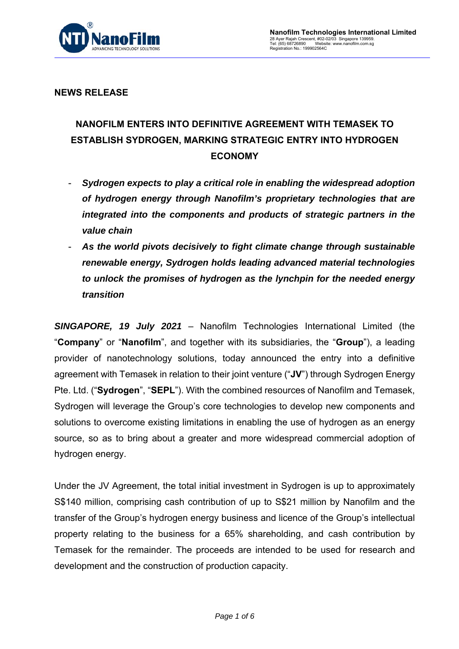

## **NEWS RELEASE**

# **NANOFILM ENTERS INTO DEFINITIVE AGREEMENT WITH TEMASEK TO ESTABLISH SYDROGEN, MARKING STRATEGIC ENTRY INTO HYDROGEN ECONOMY**

- *Sydrogen expects to play a critical role in enabling the widespread adoption of hydrogen energy through Nanofilm's proprietary technologies that are integrated into the components and products of strategic partners in the value chain*
- *As the world pivots decisively to fight climate change through sustainable renewable energy, Sydrogen holds leading advanced material technologies to unlock the promises of hydrogen as the lynchpin for the needed energy transition*

*SINGAPORE, 19 July 2021* – Nanofilm Technologies International Limited (the "**Company**" or "**Nanofilm**", and together with its subsidiaries, the "**Group**"), a leading provider of nanotechnology solutions, today announced the entry into a definitive agreement with Temasek in relation to their joint venture ("**JV**") through Sydrogen Energy Pte. Ltd. ("**Sydrogen**", "**SEPL**"). With the combined resources of Nanofilm and Temasek, Sydrogen will leverage the Group's core technologies to develop new components and solutions to overcome existing limitations in enabling the use of hydrogen as an energy source, so as to bring about a greater and more widespread commercial adoption of hydrogen energy.

Under the JV Agreement, the total initial investment in Sydrogen is up to approximately S\$140 million, comprising cash contribution of up to S\$21 million by Nanofilm and the transfer of the Group's hydrogen energy business and licence of the Group's intellectual property relating to the business for a 65% shareholding, and cash contribution by Temasek for the remainder. The proceeds are intended to be used for research and development and the construction of production capacity.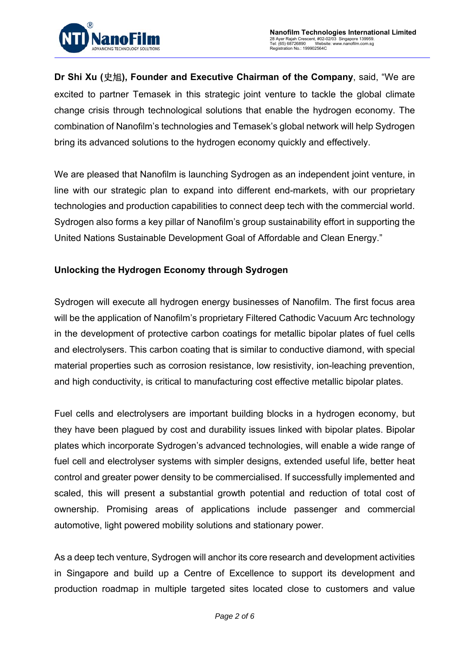

**Dr Shi Xu (**史旭**), Founder and Executive Chairman of the Company**, said, "We are excited to partner Temasek in this strategic joint venture to tackle the global climate change crisis through technological solutions that enable the hydrogen economy. The combination of Nanofilm's technologies and Temasek's global network will help Sydrogen bring its advanced solutions to the hydrogen economy quickly and effectively.

We are pleased that Nanofilm is launching Sydrogen as an independent joint venture, in line with our strategic plan to expand into different end-markets, with our proprietary technologies and production capabilities to connect deep tech with the commercial world. Sydrogen also forms a key pillar of Nanofilm's group sustainability effort in supporting the United Nations Sustainable Development Goal of Affordable and Clean Energy."

## **Unlocking the Hydrogen Economy through Sydrogen**

Sydrogen will execute all hydrogen energy businesses of Nanofilm. The first focus area will be the application of Nanofilm's proprietary Filtered Cathodic Vacuum Arc technology in the development of protective carbon coatings for metallic bipolar plates of fuel cells and electrolysers. This carbon coating that is similar to conductive diamond, with special material properties such as corrosion resistance, low resistivity, ion-leaching prevention, and high conductivity, is critical to manufacturing cost effective metallic bipolar plates.

Fuel cells and electrolysers are important building blocks in a hydrogen economy, but they have been plagued by cost and durability issues linked with bipolar plates. Bipolar plates which incorporate Sydrogen's advanced technologies, will enable a wide range of fuel cell and electrolyser systems with simpler designs, extended useful life, better heat control and greater power density to be commercialised. If successfully implemented and scaled, this will present a substantial growth potential and reduction of total cost of ownership. Promising areas of applications include passenger and commercial automotive, light powered mobility solutions and stationary power.

As a deep tech venture, Sydrogen will anchor its core research and development activities in Singapore and build up a Centre of Excellence to support its development and production roadmap in multiple targeted sites located close to customers and value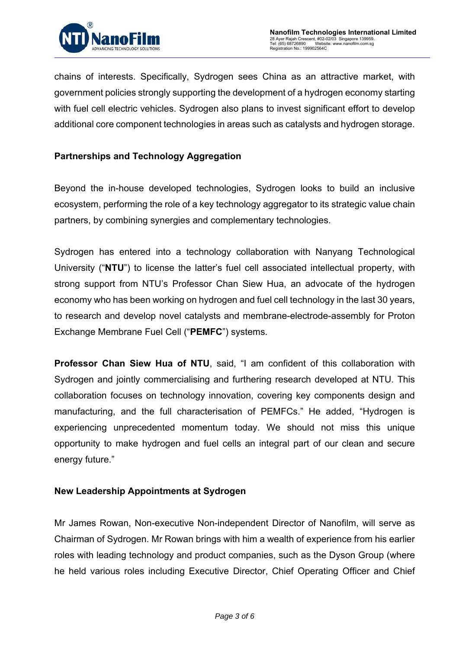

chains of interests. Specifically, Sydrogen sees China as an attractive market, with government policies strongly supporting the development of a hydrogen economy starting with fuel cell electric vehicles. Sydrogen also plans to invest significant effort to develop additional core component technologies in areas such as catalysts and hydrogen storage.

## **Partnerships and Technology Aggregation**

Beyond the in-house developed technologies, Sydrogen looks to build an inclusive ecosystem, performing the role of a key technology aggregator to its strategic value chain partners, by combining synergies and complementary technologies.

Sydrogen has entered into a technology collaboration with Nanyang Technological University ("**NTU**") to license the latter's fuel cell associated intellectual property, with strong support from NTU's Professor Chan Siew Hua, an advocate of the hydrogen economy who has been working on hydrogen and fuel cell technology in the last 30 years, to research and develop novel catalysts and membrane-electrode-assembly for Proton Exchange Membrane Fuel Cell ("**PEMFC**") systems.

**Professor Chan Siew Hua of NTU**, said, "I am confident of this collaboration with Sydrogen and jointly commercialising and furthering research developed at NTU. This collaboration focuses on technology innovation, covering key components design and manufacturing, and the full characterisation of PEMFCs." He added, "Hydrogen is experiencing unprecedented momentum today. We should not miss this unique opportunity to make hydrogen and fuel cells an integral part of our clean and secure energy future."

#### **New Leadership Appointments at Sydrogen**

Mr James Rowan, Non-executive Non-independent Director of Nanofilm, will serve as Chairman of Sydrogen. Mr Rowan brings with him a wealth of experience from his earlier roles with leading technology and product companies, such as the Dyson Group (where he held various roles including Executive Director, Chief Operating Officer and Chief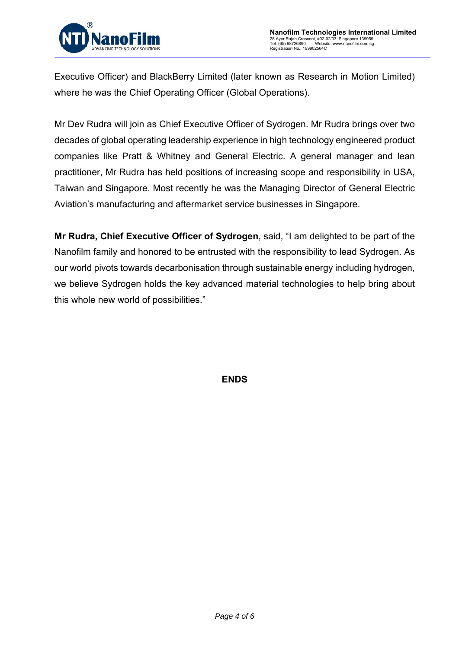

Executive Officer) and BlackBerry Limited (later known as Research in Motion Limited) where he was the Chief Operating Officer (Global Operations).

Mr Dev Rudra will join as Chief Executive Officer of Sydrogen. Mr Rudra brings over two decades of global operating leadership experience in high technology engineered product companies like Pratt & Whitney and General Electric. A general manager and lean practitioner, Mr Rudra has held positions of increasing scope and responsibility in USA, Taiwan and Singapore. Most recently he was the Managing Director of General Electric Aviation's manufacturing and aftermarket service businesses in Singapore.

**Mr Rudra, Chief Executive Officer of Sydrogen**, said, "I am delighted to be part of the Nanofilm family and honored to be entrusted with the responsibility to lead Sydrogen. As our world pivots towards decarbonisation through sustainable energy including hydrogen, we believe Sydrogen holds the key advanced material technologies to help bring about this whole new world of possibilities."

**ENDS**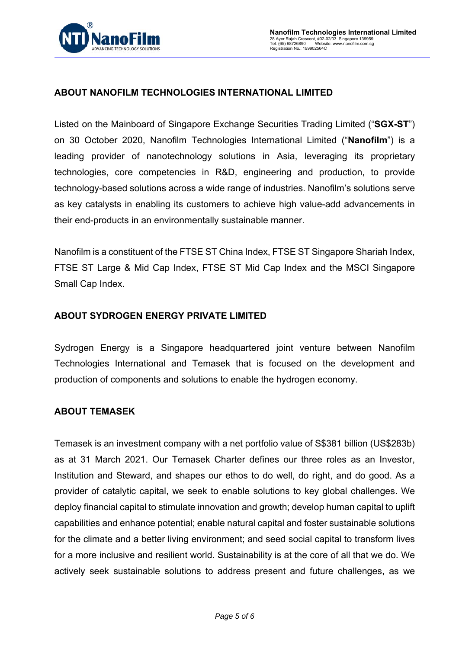

## **ABOUT NANOFILM TECHNOLOGIES INTERNATIONAL LIMITED**

Listed on the Mainboard of Singapore Exchange Securities Trading Limited ("**SGX-ST**") on 30 October 2020, Nanofilm Technologies International Limited ("**Nanofilm**") is a leading provider of nanotechnology solutions in Asia, leveraging its proprietary technologies, core competencies in R&D, engineering and production, to provide technology-based solutions across a wide range of industries. Nanofilm's solutions serve as key catalysts in enabling its customers to achieve high value-add advancements in their end-products in an environmentally sustainable manner.

Nanofilm is a constituent of the FTSE ST China Index, FTSE ST Singapore Shariah Index, FTSE ST Large & Mid Cap Index, FTSE ST Mid Cap Index and the MSCI Singapore Small Cap Index.

### **ABOUT SYDROGEN ENERGY PRIVATE LIMITED**

Sydrogen Energy is a Singapore headquartered joint venture between Nanofilm Technologies International and Temasek that is focused on the development and production of components and solutions to enable the hydrogen economy.

#### **ABOUT TEMASEK**

Temasek is an investment company with a net portfolio value of S\$381 billion (US\$283b) as at 31 March 2021. Our Temasek Charter defines our three roles as an Investor, Institution and Steward, and shapes our ethos to do well, do right, and do good. As a provider of catalytic capital, we seek to enable solutions to key global challenges. We deploy financial capital to stimulate innovation and growth; develop human capital to uplift capabilities and enhance potential; enable natural capital and foster sustainable solutions for the climate and a better living environment; and seed social capital to transform lives for a more inclusive and resilient world. Sustainability is at the core of all that we do. We actively seek sustainable solutions to address present and future challenges, as we